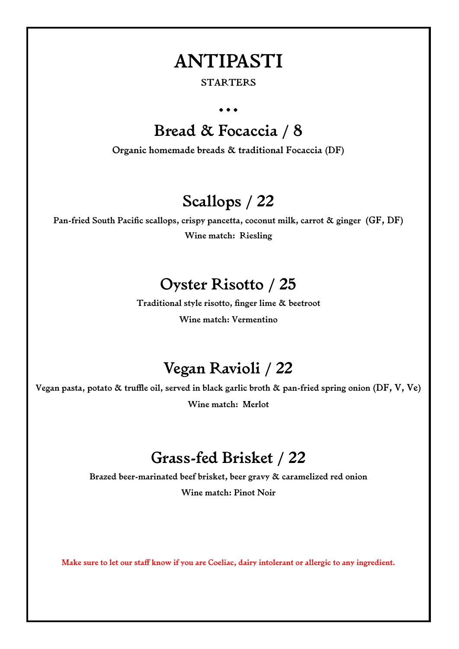### **ANTIPASTI**

#### **STARTERS**

**…** 

## **Bread & Focaccia / 8**

**Organic homemade breads & traditional Focaccia (DF)** 

## **Scallops / 22**

**Pan-fried South Pacific scallops, crispy pancetta, coconut milk, carrot & ginger (GF, DF) Wine match: Riesling** 

#### **Oyster Risotto / 25**

**Traditional style risotto, finger lime & beetroot Wine match: Vermentino** 

### **Vegan Ravioli / 22**

**Vegan pasta, potato & truffle oil, served in black garlic broth & pan-fried spring onion (DF, V, Ve) Wine match: Merlot** 

### **Grass-fed Brisket / 22**

**Brazed beer-marinated beef brisket, beer gravy & caramelized red onion Wine match: Pinot Noir** 

**Make sure to let our staff know if you are Coeliac, dairy intolerant or allergic to any ingredient.**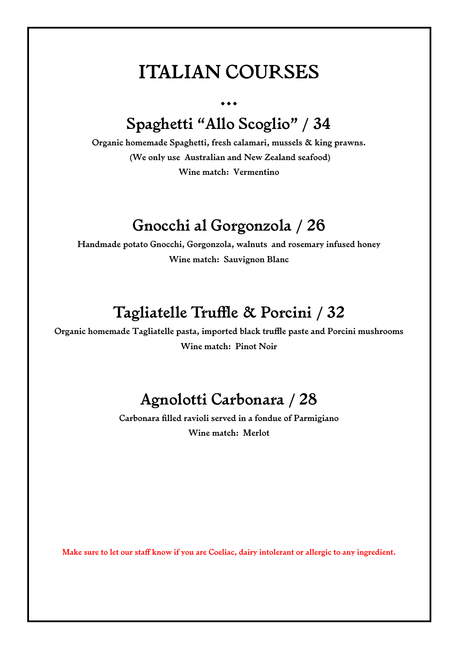## **ITALIAN COURSES**

## **Spaghetti "Allo Scoglio" / 34**

**...** 

**Organic homemade Spaghetti, fresh calamari, mussels & king prawns. (We only use Australian and New Zealand seafood) Wine match: Vermentino** 

#### **Gnocchi al Gorgonzola / 26**

**Handmade potato Gnocchi, Gorgonzola, walnuts and rosemary infused honey Wine match: Sauvignon Blanc** 

### **Tagliatelle Truffle & Porcini / 32**

**Organic homemade Tagliatelle pasta, imported black truffle paste and Porcini mushrooms Wine match: Pinot Noir**

### **Agnolotti Carbonara / 28**

**Carbonara filled ravioli served in a fondue of Parmigiano Wine match: Merlot** 

**Make sure to let our staff know if you are Coeliac, dairy intolerant or allergic to any ingredient.**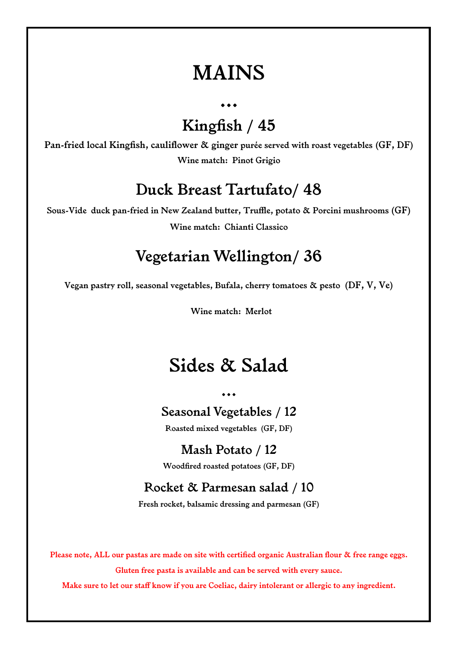## **MAINS**

**...** 

**Kingfish / 45** 

**Pan-fried local Kingfish, cauliflower & ginger purée served with roast vegetables (GF, DF) Wine match: Pinot Grigio** 

#### **Duck Breast Tartufato/ 48**

**Sous-Vide duck pan-fried in New Zealand butter, Truffle, potato & Porcini mushrooms (GF) Wine match: Chianti Classico** 

### **Vegetarian Wellington/ 36**

**Vegan pastry roll, seasonal vegetables, Bufala, cherry tomatoes & pesto (DF, V, Ve)** 

 **Wine match: Merlot** 

## **Sides & Salad**

**...** 

**Seasonal Vegetables / 12** 

**Roasted mixed vegetables (GF, DF)** 

**Mash Potato / 12 Woodfired roasted potatoes (GF, DF)** 

#### **Rocket & Parmesan salad / 10**

**Fresh rocket, balsamic dressing and parmesan (GF)** 

**Please note, ALL our pastas are made on site with certified organic Australian flour & free range eggs. Gluten free pasta is available and can be served with every sauce.** 

**Make sure to let our staff know if you are Coeliac, dairy intolerant or allergic to any ingredient.**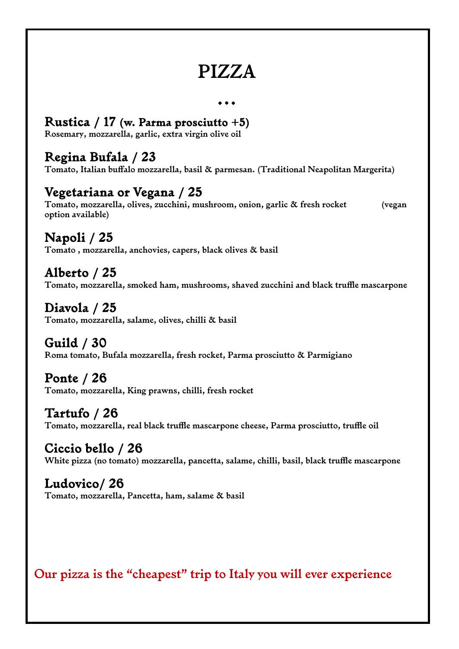# **PIZZA**

**…** 

#### **Rustica / 17 (w. Parma prosciutto +5)**

**Rosemary, mozzarella, garlic, extra virgin olive oil** 

#### **Regina Bufala / 23**

**Tomato, Italian buffalo mozzarella, basil & parmesan. (Traditional Neapolitan Margerita)** 

#### **Vegetariana or Vegana / 25**

**Tomato, mozzarella, olives, zucchini, mushroom, onion, garlic & fresh rocket (vegan option available)** 

**Napoli / 25 Tomato , mozzarella, anchovies, capers, black olives & basil** 

**Alberto / 25 Tomato, mozzarella, smoked ham, mushrooms, shaved zucchini and black truffle mascarpone** 

**Diavola / 25 Tomato, mozzarella, salame, olives, chilli & basil** 

**Guild / 30 Roma tomato, Bufala mozzarella, fresh rocket, Parma prosciutto & Parmigiano** 

**Ponte / 26 Tomato, mozzarella, King prawns, chilli, fresh rocket** 

**Tartufo / 26 Tomato, mozzarella, real black truffle mascarpone cheese, Parma prosciutto, truffle oil** 

**Ciccio bello / 26 White pizza (no tomato) mozzarella, pancetta, salame, chilli, basil, black truffle mascarpone** 

**Ludovico/ 26 Tomato, mozzarella, Pancetta, ham, salame & basil** 

**Our pizza is the "cheapest" trip to Italy you will ever experience**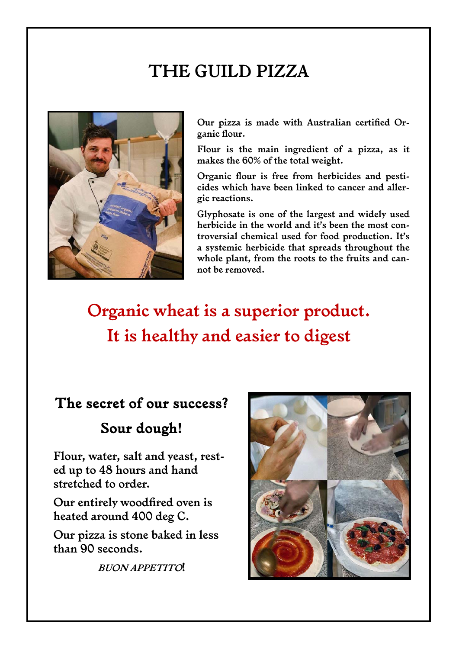# **THE GUILD PIZZA**



**Our pizza is made with Australian certified Organic flour.** 

**Flour is the main ingredient of a pizza, as it makes the 60% of the total weight.** 

**Organic flour is free from herbicides and pesticides which have been linked to cancer and allergic reactions.** 

**Glyphosate is one of the largest and widely used herbicide in the world and it's been the most controversial chemical used for food production. It's a systemic herbicide that spreads throughout the whole plant, from the roots to the fruits and cannot be removed.** 

**Organic wheat is a superior product. It is healthy and easier to digest**

#### **The secret of our success?**

#### **Sour dough!**

**Flour, water, salt and yeast, rested up to 48 hours and hand stretched to order.** 

**Our entirely woodfired oven is heated around 400 deg C.** 

**Our pizza is stone baked in less than 90 seconds.** 

**BUON APPETITO!**